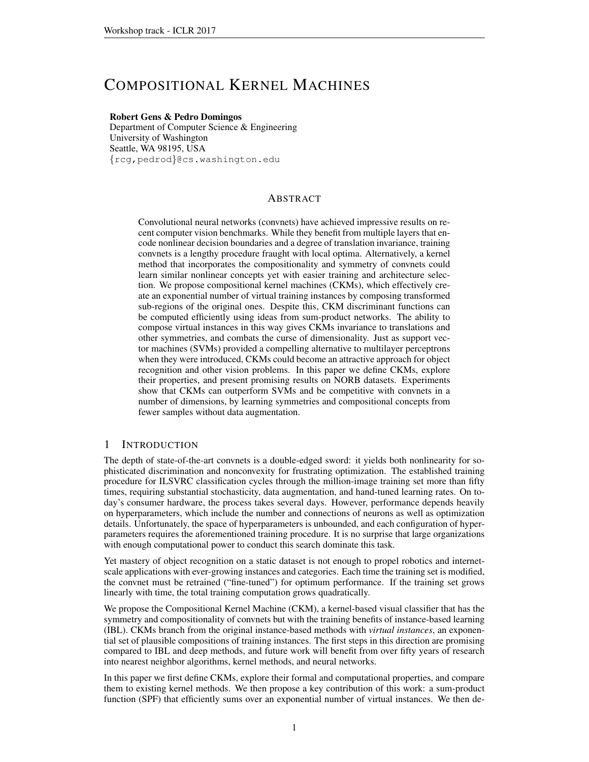# COMPOSITIONAL KERNEL MACHINES

## Robert Gens & Pedro Domingos

Department of Computer Science & Engineering University of Washington Seattle, WA 98195, USA {rcg,pedrod}@cs.washington.edu

# ABSTRACT

Convolutional neural networks (convnets) have achieved impressive results on recent computer vision benchmarks. While they benefit from multiple layers that encode nonlinear decision boundaries and a degree of translation invariance, training convnets is a lengthy procedure fraught with local optima. Alternatively, a kernel method that incorporates the compositionality and symmetry of convnets could learn similar nonlinear concepts yet with easier training and architecture selection. We propose compositional kernel machines (CKMs), which effectively create an exponential number of virtual training instances by composing transformed sub-regions of the original ones. Despite this, CKM discriminant functions can be computed efficiently using ideas from sum-product networks. The ability to compose virtual instances in this way gives CKMs invariance to translations and other symmetries, and combats the curse of dimensionality. Just as support vector machines (SVMs) provided a compelling alternative to multilayer perceptrons when they were introduced, CKMs could become an attractive approach for object recognition and other vision problems. In this paper we define CKMs, explore their properties, and present promising results on NORB datasets. Experiments show that CKMs can outperform SVMs and be competitive with convnets in a number of dimensions, by learning symmetries and compositional concepts from fewer samples without data augmentation.

# 1 INTRODUCTION

The depth of state-of-the-art convnets is a double-edged sword: it yields both nonlinearity for sophisticated discrimination and nonconvexity for frustrating optimization. The established training procedure for ILSVRC classification cycles through the million-image training set more than fifty times, requiring substantial stochasticity, data augmentation, and hand-tuned learning rates. On today's consumer hardware, the process takes several days. However, performance depends heavily on hyperparameters, which include the number and connections of neurons as well as optimization details. Unfortunately, the space of hyperparameters is unbounded, and each configuration of hyperparameters requires the aforementioned training procedure. It is no surprise that large organizations with enough computational power to conduct this search dominate this task.

Yet mastery of object recognition on a static dataset is not enough to propel robotics and internetscale applications with ever-growing instances and categories. Each time the training set is modified, the convnet must be retrained ("fine-tuned") for optimum performance. If the training set grows linearly with time, the total training computation grows quadratically.

We propose the Compositional Kernel Machine (CKM), a kernel-based visual classifier that has the symmetry and compositionality of convnets but with the training benefits of instance-based learning (IBL). CKMs branch from the original instance-based methods with *virtual instances*, an exponential set of plausible compositions of training instances. The first steps in this direction are promising compared to IBL and deep methods, and future work will benefit from over fifty years of research into nearest neighbor algorithms, kernel methods, and neural networks.

In this paper we first define CKMs, explore their formal and computational properties, and compare them to existing kernel methods. We then propose a key contribution of this work: a sum-product function (SPF) that efficiently sums over an exponential number of virtual instances. We then de-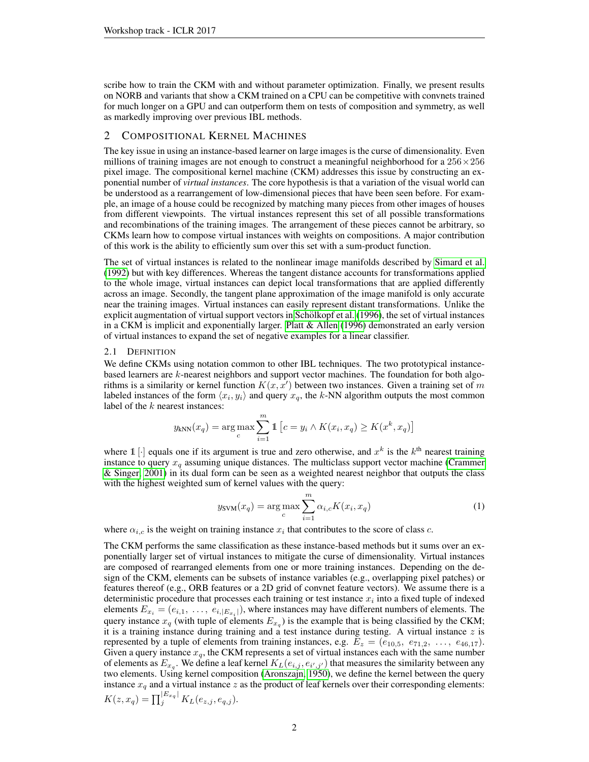scribe how to train the CKM with and without parameter optimization. Finally, we present results on NORB and variants that show a CKM trained on a CPU can be competitive with convnets trained for much longer on a GPU and can outperform them on tests of composition and symmetry, as well as markedly improving over previous IBL methods.

# 2 COMPOSITIONAL KERNEL MACHINES

The key issue in using an instance-based learner on large images is the curse of dimensionality. Even millions of training images are not enough to construct a meaningful neighborhood for a  $256 \times 256$ pixel image. The compositional kernel machine (CKM) addresses this issue by constructing an exponential number of *virtual instances*. The core hypothesis is that a variation of the visual world can be understood as a rearrangement of low-dimensional pieces that have been seen before. For example, an image of a house could be recognized by matching many pieces from other images of houses from different viewpoints. The virtual instances represent this set of all possible transformations and recombinations of the training images. The arrangement of these pieces cannot be arbitrary, so CKMs learn how to compose virtual instances with weights on compositions. A major contribution of this work is the ability to efficiently sum over this set with a sum-product function.

The set of virtual instances is related to the nonlinear image manifolds described by [Simard et al.](#page-9-0) [\(1992\)](#page-9-0) but with key differences. Whereas the tangent distance accounts for transformations applied to the whole image, virtual instances can depict local transformations that are applied differently across an image. Secondly, the tangent plane approximation of the image manifold is only accurate near the training images. Virtual instances can easily represent distant transformations. Unlike the explicit augmentation of virtual support vectors in Schölkopf et al. [\(1996\)](#page-9-1), the set of virtual instances in a CKM is implicit and exponentially larger. [Platt & Allen](#page-9-2) [\(1996\)](#page-9-2) demonstrated an early version of virtual instances to expand the set of negative examples for a linear classifier.

#### 2.1 DEFINITION

We define CKMs using notation common to other IBL techniques. The two prototypical instancebased learners are k-nearest neighbors and support vector machines. The foundation for both algorithms is a similarity or kernel function  $K(x, x')$  between two instances. Given a training set of m labeled instances of the form  $\langle x_i, y_i \rangle$  and query  $x_q$ , the k-NN algorithm outputs the most common label of the  $k$  nearest instances:

$$
y_{kNN}(x_q) = \arg\max_{c} \sum_{i=1}^{m} \mathbb{1} \left[ c = y_i \land K(x_i, x_q) \ge K(x^k, x_q) \right]
$$

where  $\mathbb{1}[\cdot]$  equals one if its argument is true and zero otherwise, and  $x^k$  is the  $k^{\text{th}}$  nearest training instance to query  $x_q$  assuming unique distances. The multiclass support vector machine [\(Crammer](#page-8-0) [& Singer, 2001\)](#page-8-0) in its dual form can be seen as a weighted nearest neighbor that outputs the class with the highest weighted sum of kernel values with the query:

<span id="page-1-0"></span>
$$
y_{\text{SVM}}(x_q) = \underset{c}{\text{arg max}} \sum_{i=1}^{m} \alpha_{i,c} K(x_i, x_q)
$$
 (1)

where  $\alpha_{i,c}$  is the weight on training instance  $x_i$  that contributes to the score of class c.

The CKM performs the same classification as these instance-based methods but it sums over an exponentially larger set of virtual instances to mitigate the curse of dimensionality. Virtual instances are composed of rearranged elements from one or more training instances. Depending on the design of the CKM, elements can be subsets of instance variables (e.g., overlapping pixel patches) or features thereof (e.g., ORB features or a 2D grid of convnet feature vectors). We assume there is a deterministic procedure that processes each training or test instance  $x_i$  into a fixed tuple of indexed elements  $E_{x_i} = (e_{i,1}, \ldots, e_{i,|E_{x_i}|})$ , where instances may have different numbers of elements. The query instance  $x_q$  (with tuple of elements  $E_{x_q}$ ) is the example that is being classified by the CKM; it is a training instance during training and a test instance during testing. A virtual instance  $z$  is represented by a tuple of elements from training instances, e.g.  $E_z = (e_{10,5}, e_{71,2}, \ldots, e_{46,17}).$ Given a query instance  $x_q$ , the CKM represents a set of virtual instances each with the same number of elements as  $E_{x_q}$ . We define a leaf kernel  $K_L(e_{i,j}, e_{i',j'})$  that measures the similarity between any two elements. Using kernel composition [\(Aronszajn, 1950\)](#page-8-1), we define the kernel between the query instance  $x_q$  and a virtual instance  $z$  as the product of leaf kernels over their corresponding elements:  $K(z, x_q) = \prod_j^{|E_{x_q}|} K_L(e_{z,j}, e_{q,j}).$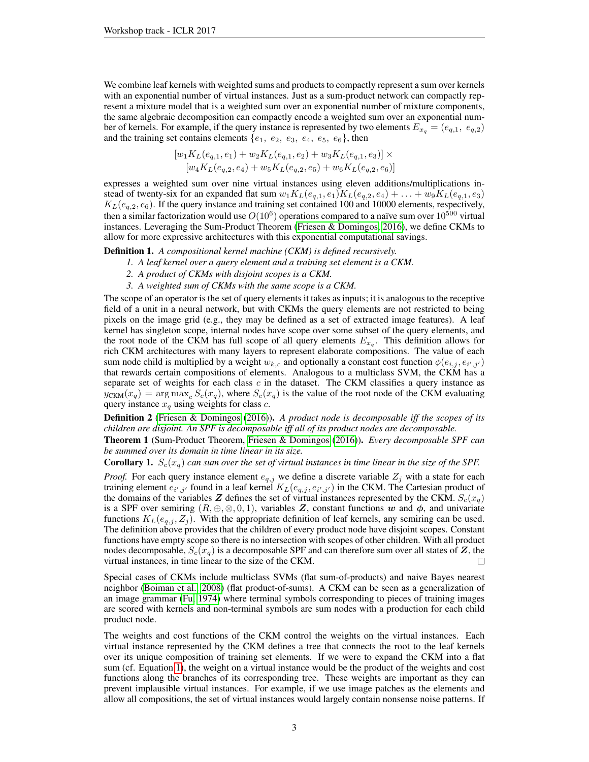We combine leaf kernels with weighted sums and products to compactly represent a sum over kernels with an exponential number of virtual instances. Just as a sum-product network can compactly represent a mixture model that is a weighted sum over an exponential number of mixture components, the same algebraic decomposition can compactly encode a weighted sum over an exponential number of kernels. For example, if the query instance is represented by two elements  $E_{x_q} = (e_{q,1}, e_{q,2})$ and the training set contains elements  $\{e_1, e_2, e_3, e_4, e_5, e_6\}$ , then

$$
[w_1K_L(e_{q,1}, e_1) + w_2K_L(e_{q,1}, e_2) + w_3K_L(e_{q,1}, e_3)] \times
$$
  

$$
[w_4K_L(e_{q,2}, e_4) + w_5K_L(e_{q,2}, e_5) + w_6K_L(e_{q,2}, e_6)]
$$

expresses a weighted sum over nine virtual instances using eleven additions/multiplications instead of twenty-six for an expanded flat sum  $w_1K_L(e_{q,1}, e_1)K_L(e_{q,2}, e_4) + \ldots + w_9K_L(e_{q,1}, e_3)$  $K_L(e_{q,2}, e_6)$ . If the query instance and training set contained 100 and 10000 elements, respectively, then a similar factorization would use  $O(10^6)$  operations compared to a naïve sum over  $10^{500}$  virtual instances. Leveraging the Sum-Product Theorem [\(Friesen & Domingos, 2016\)](#page-8-2), we define CKMs to allow for more expressive architectures with this exponential computational savings.

Definition 1. *A compositional kernel machine (CKM) is defined recursively.*

- *1. A leaf kernel over a query element and a training set element is a CKM.*
- *2. A product of CKMs with disjoint scopes is a CKM.*
- *3. A weighted sum of CKMs with the same scope is a CKM.*

The scope of an operator is the set of query elements it takes as inputs; it is analogous to the receptive field of a unit in a neural network, but with CKMs the query elements are not restricted to being pixels on the image grid (e.g., they may be defined as a set of extracted image features). A leaf kernel has singleton scope, internal nodes have scope over some subset of the query elements, and the root node of the CKM has full scope of all query elements  $E_{x_q}$ . This definition allows for rich CKM architectures with many layers to represent elaborate compositions. The value of each sum node child is multiplied by a weight  $w_{k,c}$  and optionally a constant cost function  $\phi(e_{i,j}, e_{i',j'})$ that rewards certain compositions of elements. Analogous to a multiclass SVM, the CKM has a separate set of weights for each class  $c$  in the dataset. The CKM classifies a query instance as  $y_{\text{CKM}}(x_q) = \arg \max_c S_c(x_q)$ , where  $S_c(x_q)$  is the value of the root node of the CKM evaluating query instance  $x_q$  using weights for class c.

Definition 2 [\(Friesen & Domingos](#page-8-2) [\(2016\)](#page-8-2)). *A product node is decomposable iff the scopes of its children are disjoint. An SPF is decomposable iff all of its product nodes are decomposable.*

Theorem 1 (Sum-Product Theorem, [Friesen & Domingos](#page-8-2) [\(2016\)](#page-8-2)). *Every decomposable SPF can be summed over its domain in time linear in its size.*

**Corollary 1.**  $S_c(x_q)$  *can sum over the set of virtual instances in time linear in the size of the SPF.* 

*Proof.* For each query instance element  $e_{q,j}$  we define a discrete variable  $Z_j$  with a state for each training element  $e_{i',j'}$  found in a leaf kernel  $K_L(e_{q,j}, e_{i',j'})$  in the CKM. The Cartesian product of the domains of the variables Z defines the set of virtual instances represented by the CKM.  $S_c(x_q)$ is a SPF over semiring  $(R, \oplus, \infty, 0, 1)$ , variables Z, constant functions w and  $\phi$ , and univariate functions  $K_L(e_{q,i}, Z_i)$ . With the appropriate definition of leaf kernels, any semiring can be used. The definition above provides that the children of every product node have disjoint scopes. Constant functions have empty scope so there is no intersection with scopes of other children. With all product nodes decomposable,  $S_c(x_q)$  is a decomposable SPF and can therefore sum over all states of Z, the virtual instances, in time linear to the size of the CKM.

Special cases of CKMs include multiclass SVMs (flat sum-of-products) and naive Bayes nearest neighbor [\(Boiman et al., 2008\)](#page-8-3) (flat product-of-sums). A CKM can be seen as a generalization of an image grammar [\(Fu, 1974\)](#page-8-4) where terminal symbols corresponding to pieces of training images are scored with kernels and non-terminal symbols are sum nodes with a production for each child product node.

The weights and cost functions of the CKM control the weights on the virtual instances. Each virtual instance represented by the CKM defines a tree that connects the root to the leaf kernels over its unique composition of training set elements. If we were to expand the CKM into a flat sum (cf. Equation [1\)](#page-1-0), the weight on a virtual instance would be the product of the weights and cost functions along the branches of its corresponding tree. These weights are important as they can prevent implausible virtual instances. For example, if we use image patches as the elements and allow all compositions, the set of virtual instances would largely contain nonsense noise patterns. If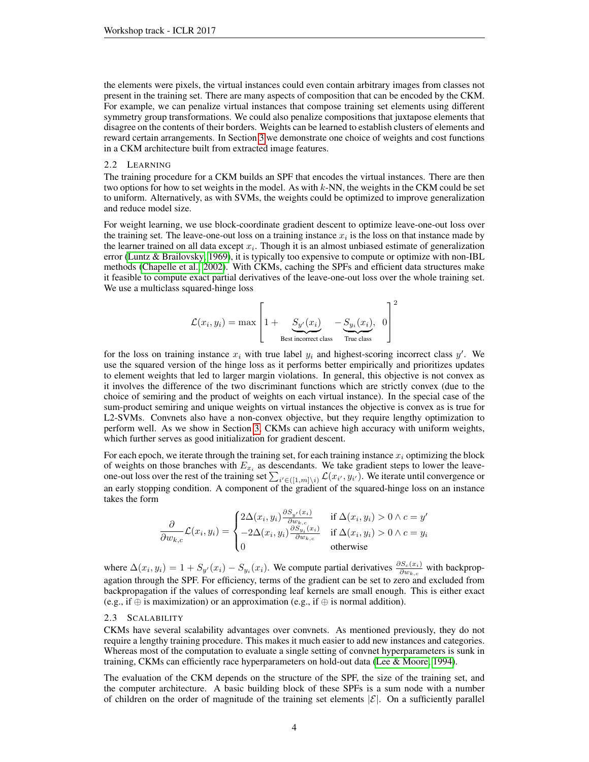the elements were pixels, the virtual instances could even contain arbitrary images from classes not present in the training set. There are many aspects of composition that can be encoded by the CKM. For example, we can penalize virtual instances that compose training set elements using different symmetry group transformations. We could also penalize compositions that juxtapose elements that disagree on the contents of their borders. Weights can be learned to establish clusters of elements and reward certain arrangements. In Section [3](#page-4-0) we demonstrate one choice of weights and cost functions in a CKM architecture built from extracted image features.

#### <span id="page-3-0"></span>2.2 LEARNING

The training procedure for a CKM builds an SPF that encodes the virtual instances. There are then two options for how to set weights in the model. As with  $k$ -NN, the weights in the CKM could be set to uniform. Alternatively, as with SVMs, the weights could be optimized to improve generalization and reduce model size.

For weight learning, we use block-coordinate gradient descent to optimize leave-one-out loss over the training set. The leave-one-out loss on a training instance  $x_i$  is the loss on that instance made by the learner trained on all data except  $x_i$ . Though it is an almost unbiased estimate of generalization error [\(Luntz & Brailovsky, 1969\)](#page-8-5), it is typically too expensive to compute or optimize with non-IBL methods [\(Chapelle et al., 2002\)](#page-8-6). With CKMs, caching the SPFs and efficient data structures make it feasible to compute exact partial derivatives of the leave-one-out loss over the whole training set. We use a multiclass squared-hinge loss

$$
\mathcal{L}(x_i, y_i) = \max \left[ 1 + \underbrace{S_{y'}(x_i)}_{\text{Best incorrect class}} - \underbrace{S_{y_i}(x_i)}_{\text{True class}} , 0 \right]^2
$$

for the loss on training instance  $x_i$  with true label  $y_i$  and highest-scoring incorrect class  $y'$ . We use the squared version of the hinge loss as it performs better empirically and prioritizes updates to element weights that led to larger margin violations. In general, this objective is not convex as it involves the difference of the two discriminant functions which are strictly convex (due to the choice of semiring and the product of weights on each virtual instance). In the special case of the sum-product semiring and unique weights on virtual instances the objective is convex as is true for L2-SVMs. Convnets also have a non-convex objective, but they require lengthy optimization to perform well. As we show in Section [3,](#page-4-0) CKMs can achieve high accuracy with uniform weights, which further serves as good initialization for gradient descent.

For each epoch, we iterate through the training set, for each training instance  $x_i$  optimizing the block of weights on those branches with  $E_{x_i}$  as descendants. We take gradient steps to lower the leaveone-out loss over the rest of the training set  $\sum_{i' \in ([1,m]\setminus i)} \mathcal{L}(x_{i'}, y_{i'})$ . We iterate until convergence or an early stopping condition. A component of the gradient of the squared-hinge loss on an instance takes the form

$$
\frac{\partial}{\partial w_{k,c}} \mathcal{L}(x_i, y_i) = \begin{cases} 2\Delta(x_i, y_i) \frac{\partial S_{y'}(x_i)}{\partial w_{k,c}} & \text{if } \Delta(x_i, y_i) > 0 \land c = y'\\ -2\Delta(x_i, y_i) \frac{\partial S_{y_i}(x_i)}{\partial w_{k,c}} & \text{if } \Delta(x_i, y_i) > 0 \land c = y_i\\ 0 & \text{otherwise} \end{cases}
$$

where  $\Delta(x_i, y_i) = 1 + S_{y}(x_i) - S_{y_i}(x_i)$ . We compute partial derivatives  $\frac{\partial S_c(x_i)}{\partial w_{k,c}}$  with backpropagation through the SPF. For efficiency, terms of the gradient can be set to zero and excluded from backpropagation if the values of corresponding leaf kernels are small enough. This is either exact (e.g., if ⊕ is maximization) or an approximation (e.g., if ⊕ is normal addition).

#### 2.3 SCALABILITY

CKMs have several scalability advantages over convnets. As mentioned previously, they do not require a lengthy training procedure. This makes it much easier to add new instances and categories. Whereas most of the computation to evaluate a single setting of convnet hyperparameters is sunk in training, CKMs can efficiently race hyperparameters on hold-out data [\(Lee & Moore, 1994\)](#page-8-7).

The evaluation of the CKM depends on the structure of the SPF, the size of the training set, and the computer architecture. A basic building block of these SPFs is a sum node with a number of children on the order of magnitude of the training set elements  $|\mathcal{E}|$ . On a sufficiently parallel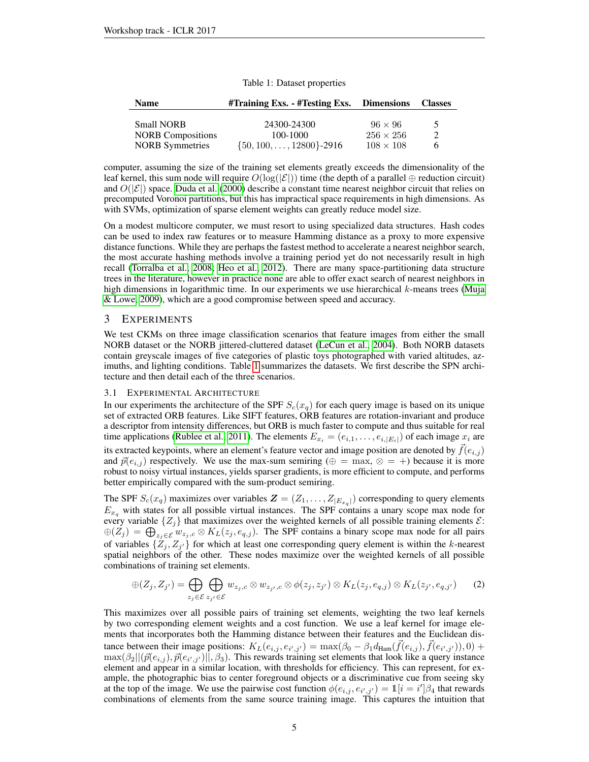<span id="page-4-1"></span>

| <b>Name</b>              | $\#$ Training Exs. - $\#$ Testing Exs. Dimensions |                  | <b>Classes</b>           |
|--------------------------|---------------------------------------------------|------------------|--------------------------|
| <b>Small NORB</b>        | 24300-24300                                       | $96 \times 96$   | $\overline{\phantom{1}}$ |
| <b>NORB</b> Compositions | 100-1000                                          | $256 \times 256$ | 2                        |
| <b>NORB</b> Symmetries   | $\{50, 100, \ldots, 12800\}$ -2916                | $108 \times 108$ | h                        |

| Table 1: Dataset properties |  |
|-----------------------------|--|
|-----------------------------|--|

computer, assuming the size of the training set elements greatly exceeds the dimensionality of the leaf kernel, this sum node will require  $O(log(|\mathcal{E}|))$  time (the depth of a parallel ⊕ reduction circuit) and  $O(|\mathcal{E}|)$  space. [Duda et al.](#page-8-8) [\(2000\)](#page-8-8) describe a constant time nearest neighbor circuit that relies on precomputed Voronoi partitions, but this has impractical space requirements in high dimensions. As with SVMs, optimization of sparse element weights can greatly reduce model size.

On a modest multicore computer, we must resort to using specialized data structures. Hash codes can be used to index raw features or to measure Hamming distance as a proxy to more expensive distance functions. While they are perhaps the fastest method to accelerate a nearest neighbor search, the most accurate hashing methods involve a training period yet do not necessarily result in high recall [\(Torralba et al., 2008;](#page-9-3) [Heo et al., 2012\)](#page-8-9). There are many space-partitioning data structure trees in the literature, however in practice none are able to offer exact search of nearest neighbors in high dimensions in logarithmic time. In our experiments we use hierarchical  $k$ -means trees [\(Muja](#page-8-10) [& Lowe, 2009\)](#page-8-10), which are a good compromise between speed and accuracy.

# <span id="page-4-0"></span>3 EXPERIMENTS

We test CKMs on three image classification scenarios that feature images from either the small NORB dataset or the NORB jittered-cluttered dataset [\(LeCun et al., 2004\)](#page-8-11). Both NORB datasets contain greyscale images of five categories of plastic toys photographed with varied altitudes, azimuths, and lighting conditions. Table [1](#page-4-1) summarizes the datasets. We first describe the SPN architecture and then detail each of the three scenarios.

# 3.1 EXPERIMENTAL ARCHITECTURE

In our experiments the architecture of the SPF  $S_c(x_q)$  for each query image is based on its unique set of extracted ORB features. Like SIFT features, ORB features are rotation-invariant and produce a descriptor from intensity differences, but ORB is much faster to compute and thus suitable for real time applications [\(Rublee et al., 2011\)](#page-9-4). The elements  $E_{x_i} = (e_{i,1}, \ldots, e_{i,|E_i|})$  of each image  $x_i$  are its extracted keypoints, where an element's feature vector and image position are denoted by  $\vec{f}(e_{i,j})$ and  $\vec{p}(e_{i,j})$  respectively. We use the max-sum semiring ( $\oplus = \max$ ,  $\otimes = +$ ) because it is more robust to noisy virtual instances, yields sparser gradients, is more efficient to compute, and performs better empirically compared with the sum-product semiring.

The SPF  $S_c(x_q)$  maximizes over variables  $\mathbf{Z} = (Z_1, \dots, Z_{|E_{x_q}|})$  corresponding to query elements  $E_{x_q}$  with states for all possible virtual instances. The SPF contains a unary scope max node for every variable  $\{Z_i\}$  that maximizes over the weighted kernels of all possible training elements  $\mathcal{E}$ :  $\oplus(Z_j) = \bigoplus_{z_j \in \mathcal{E}} w_{z_j,c} \otimes K_L(z_j, e_{q,j}).$  The SPF contains a binary scope max node for all pairs of variables  $\{Z_j, Z_{j'}\}$  for which at least one corresponding query element is within the k-nearest spatial neighbors of the other. These nodes maximize over the weighted kernels of all possible combinations of training set elements.

$$
\oplus (Z_j, Z_{j'}) = \bigoplus_{z_j \in \mathcal{E}} \bigoplus_{z_{j'} \in \mathcal{E}} w_{z_j,c} \otimes w_{z_{j'},c} \otimes \phi(z_j, z_{j'}) \otimes K_L(z_j, e_{q,j}) \otimes K_L(z_{j'}, e_{q,j'}) \qquad (2)
$$

This maximizes over all possible pairs of training set elements, weighting the two leaf kernels by two corresponding element weights and a cost function. We use a leaf kernel for image elements that incorporates both the Hamming distance between their features and the Euclidean distance between their image positions:  $K_L(e_{i,j}, e_{i',j'}) = \max(\beta_0 - \beta_1 d_{\text{Ham}}(\vec{f}(e_{i,j}), \vec{f}(e_{i',j'})), 0) +$  $\max(\beta_2 || (\vec{p}(e_{i,j}), \vec{p}(e_{i',j'})||, \beta_3)$ . This rewards training set elements that look like a query instance element and appear in a similar location, with thresholds for efficiency. This can represent, for example, the photographic bias to center foreground objects or a discriminative cue from seeing sky at the top of the image. We use the pairwise cost function  $\phi(e_{i,j}, e_{i',j'}) = 1[i = i']\beta_4$  that rewards combinations of elements from the same source training image. This captures the intuition that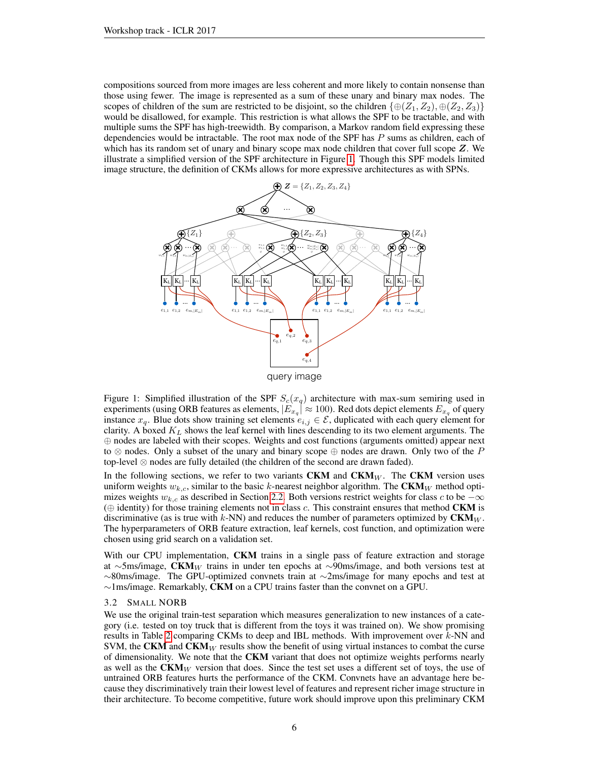compositions sourced from more images are less coherent and more likely to contain nonsense than those using fewer. The image is represented as a sum of these unary and binary max nodes. The scopes of children of the sum are restricted to be disjoint, so the children  $\{\oplus(Z_1, Z_2), \oplus(Z_2, Z_3)\}$ would be disallowed, for example. This restriction is what allows the SPF to be tractable, and with multiple sums the SPF has high-treewidth. By comparison, a Markov random field expressing these dependencies would be intractable. The root max node of the SPF has  $P$  sums as children, each of which has its random set of unary and binary scope max node children that cover full scope  $Z$ . We illustrate a simplified version of the SPF architecture in Figure [1.](#page-5-0) Though this SPF models limited image structure, the definition of CKMs allows for more expressive architectures as with SPNs.

<span id="page-5-0"></span>

Figure 1: Simplified illustration of the SPF  $S_c(x_q)$  architecture with max-sum semiring used in experiments (using ORB features as elements,  $|E_{x_q}| \approx 100$ ). Red dots depict elements  $E_{x_q}$  of query instance  $x_q$ . Blue dots show training set elements  $e_{i,j} \in \mathcal{E}$ , duplicated with each query element for clarity. A boxed  $K_L$  shows the leaf kernel with lines descending to its two element arguments. The ⊕ nodes are labeled with their scopes. Weights and cost functions (arguments omitted) appear next to  $\otimes$  nodes. Only a subset of the unary and binary scope  $\oplus$  nodes are drawn. Only two of the P top-level  $\otimes$  nodes are fully detailed (the children of the second are drawn faded).

In the following sections, we refer to two variants  $CKM$  and  $CKM_W$ . The CKM version uses uniform weights  $w_{k,c}$ , similar to the basic k-nearest neighbor algorithm. The  $CKM_W$  method optimizes weights  $w_{k,c}$  as described in Section [2.2.](#page-3-0) Both versions restrict weights for class c to be  $-\infty$  $(\oplus$  identity) for those training elements not in class c. This constraint ensures that method **CKM** is discriminative (as is true with k-NN) and reduces the number of parameters optimized by  $CKM_W$ . The hyperparameters of ORB feature extraction, leaf kernels, cost function, and optimization were chosen using grid search on a validation set.

With our CPU implementation, **CKM** trains in a single pass of feature extraction and storage at ∼5ms/image, CKM<sub>W</sub> trains in under ten epochs at ∼90ms/image, and both versions test at  $\sim$ 80ms/image. The GPU-optimized convnets train at  $\sim$ 2ms/image for many epochs and test at ∼1ms/image. Remarkably, CKM on a CPU trains faster than the convnet on a GPU.

## 3.2 SMALL NORB

We use the original train-test separation which measures generalization to new instances of a category (i.e. tested on toy truck that is different from the toys it was trained on). We show promising results in Table [2](#page-6-0) comparing CKMs to deep and IBL methods. With improvement over k-NN and SVM, the CKM and  $CKM_W$  results show the benefit of using virtual instances to combat the curse of dimensionality. We note that the CKM variant that does not optimize weights performs nearly as well as the  $CKM_W$  version that does. Since the test set uses a different set of toys, the use of untrained ORB features hurts the performance of the CKM. Convnets have an advantage here because they discriminatively train their lowest level of features and represent richer image structure in their architecture. To become competitive, future work should improve upon this preliminary CKM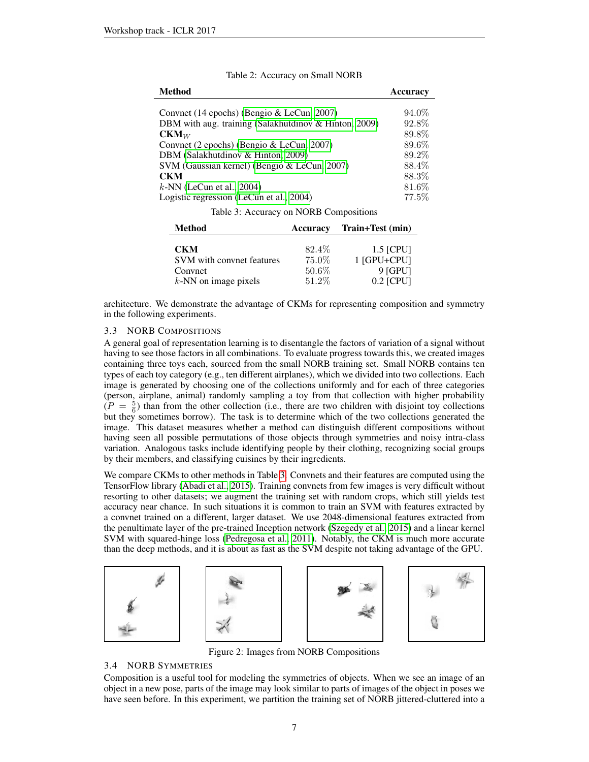<span id="page-6-0"></span>

| <b>Method</b>                                         | <b>Accuracy</b> |
|-------------------------------------------------------|-----------------|
|                                                       |                 |
| Convnet (14 epochs) (Bengio & LeCun, 2007)            | $94.0\%$        |
| DBM with aug. training (Salakhutdinov & Hinton, 2009) | 92.8%           |
| $CKM_W$                                               | 89.8%           |
| Convnet (2 epochs) (Bengio & LeCun, 2007)             | 89.6%           |
| DBM (Salakhutdinov & Hinton, 2009)                    | 89.2%           |
| SVM (Gaussian kernel) (Bengio & LeCun, 2007)          | 88.4%           |
| <b>CKM</b>                                            | 88.3%           |
| $k$ -NN (LeCun et al., 2004)                          | $81.6\%$        |
| Logistic regression (LeCun et al., 2004)              | $77.5\%$        |
|                                                       |                 |

Table 2: Accuracy on Small NORB

Table 3: Accuracy on NORB Compositions

<span id="page-6-1"></span>

| Method                    | Accuracy | Train+Test (min) |
|---------------------------|----------|------------------|
| <b>CKM</b>                | 82.4\%   | $1.5$ [CPU]      |
| SVM with convnet features | 75.0%    | 1 [GPU+CPU]      |
| Convnet                   | 50.6%    | $9$ [GPU]        |
| $k$ -NN on image pixels   | 51.2%    | $0.2$ [CPU]      |

architecture. We demonstrate the advantage of CKMs for representing composition and symmetry in the following experiments.

### 3.3 NORB COMPOSITIONS

A general goal of representation learning is to disentangle the factors of variation of a signal without having to see those factors in all combinations. To evaluate progress towards this, we created images containing three toys each, sourced from the small NORB training set. Small NORB contains ten types of each toy category (e.g., ten different airplanes), which we divided into two collections. Each image is generated by choosing one of the collections uniformly and for each of three categories (person, airplane, animal) randomly sampling a toy from that collection with higher probability  $(P = \frac{5}{6})$  than from the other collection (i.e., there are two children with disjoint toy collections but they sometimes borrow). The task is to determine which of the two collections generated the image. This dataset measures whether a method can distinguish different compositions without having seen all possible permutations of those objects through symmetries and noisy intra-class variation. Analogous tasks include identifying people by their clothing, recognizing social groups by their members, and classifying cuisines by their ingredients.

We compare CKMs to other methods in Table [3.](#page-6-1) Convnets and their features are computed using the TensorFlow library [\(Abadi et al., 2015\)](#page-8-13). Training convnets from few images is very difficult without resorting to other datasets; we augment the training set with random crops, which still yields test accuracy near chance. In such situations it is common to train an SVM with features extracted by a convnet trained on a different, larger dataset. We use 2048-dimensional features extracted from the penultimate layer of the pre-trained Inception network [\(Szegedy et al., 2015\)](#page-9-6) and a linear kernel SVM with squared-hinge loss [\(Pedregosa et al., 2011\)](#page-8-14). Notably, the CKM is much more accurate than the deep methods, and it is about as fast as the SVM despite not taking advantage of the GPU.



Figure 2: Images from NORB Compositions

# 3.4 NORB SYMMETRIES

Composition is a useful tool for modeling the symmetries of objects. When we see an image of an object in a new pose, parts of the image may look similar to parts of images of the object in poses we have seen before. In this experiment, we partition the training set of NORB jittered-cluttered into a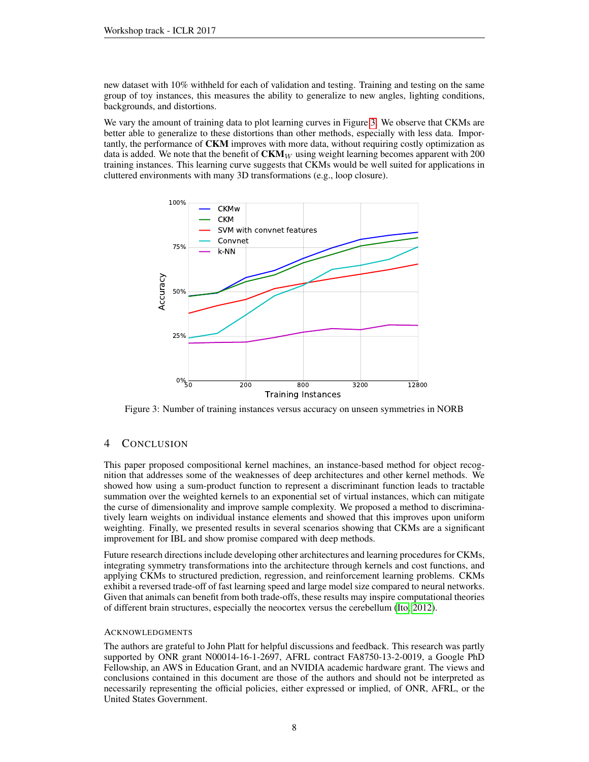new dataset with 10% withheld for each of validation and testing. Training and testing on the same group of toy instances, this measures the ability to generalize to new angles, lighting conditions, backgrounds, and distortions.

We vary the amount of training data to plot learning curves in Figure [3.](#page-7-0) We observe that CKMs are better able to generalize to these distortions than other methods, especially with less data. Importantly, the performance of CKM improves with more data, without requiring costly optimization as data is added. We note that the benefit of  $CKM_W$  using weight learning becomes apparent with 200 training instances. This learning curve suggests that CKMs would be well suited for applications in cluttered environments with many 3D transformations (e.g., loop closure).

<span id="page-7-0"></span>

Figure 3: Number of training instances versus accuracy on unseen symmetries in NORB

# 4 CONCLUSION

This paper proposed compositional kernel machines, an instance-based method for object recognition that addresses some of the weaknesses of deep architectures and other kernel methods. We showed how using a sum-product function to represent a discriminant function leads to tractable summation over the weighted kernels to an exponential set of virtual instances, which can mitigate the curse of dimensionality and improve sample complexity. We proposed a method to discriminatively learn weights on individual instance elements and showed that this improves upon uniform weighting. Finally, we presented results in several scenarios showing that CKMs are a significant improvement for IBL and show promise compared with deep methods.

Future research directions include developing other architectures and learning procedures for CKMs, integrating symmetry transformations into the architecture through kernels and cost functions, and applying CKMs to structured prediction, regression, and reinforcement learning problems. CKMs exhibit a reversed trade-off of fast learning speed and large model size compared to neural networks. Given that animals can benefit from both trade-offs, these results may inspire computational theories of different brain structures, especially the neocortex versus the cerebellum [\(Ito, 2012\)](#page-8-15).

#### ACKNOWLEDGMENTS

The authors are grateful to John Platt for helpful discussions and feedback. This research was partly supported by ONR grant N00014-16-1-2697, AFRL contract FA8750-13-2-0019, a Google PhD Fellowship, an AWS in Education Grant, and an NVIDIA academic hardware grant. The views and conclusions contained in this document are those of the authors and should not be interpreted as necessarily representing the official policies, either expressed or implied, of ONR, AFRL, or the United States Government.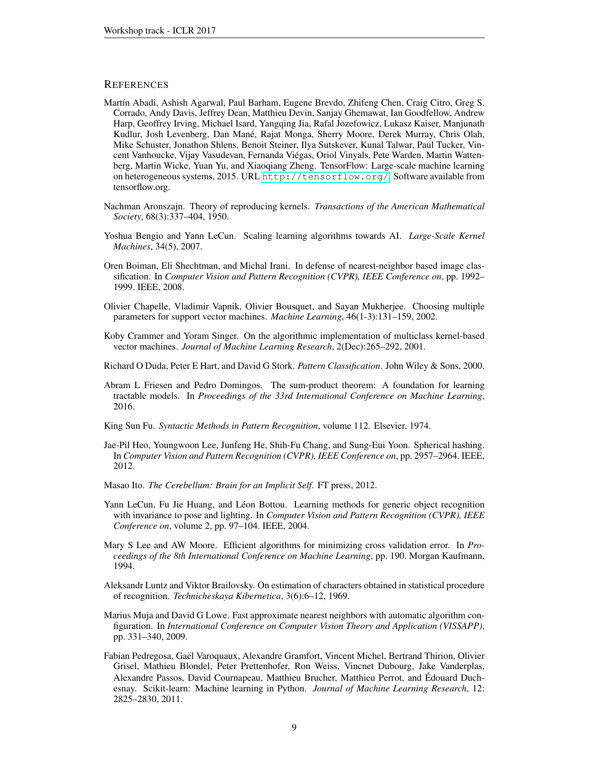# **REFERENCES**

- <span id="page-8-13"></span>Martín Abadi, Ashish Agarwal, Paul Barham, Eugene Brevdo, Zhifeng Chen, Craig Citro, Greg S. Corrado, Andy Davis, Jeffrey Dean, Matthieu Devin, Sanjay Ghemawat, Ian Goodfellow, Andrew Harp, Geoffrey Irving, Michael Isard, Yangqing Jia, Rafal Jozefowicz, Lukasz Kaiser, Manjunath Kudlur, Josh Levenberg, Dan Mane, Rajat Monga, Sherry Moore, Derek Murray, Chris Olah, ´ Mike Schuster, Jonathon Shlens, Benoit Steiner, Ilya Sutskever, Kunal Talwar, Paul Tucker, Vincent Vanhoucke, Vijay Vasudevan, Fernanda Viegas, Oriol Vinyals, Pete Warden, Martin Watten- ´ berg, Martin Wicke, Yuan Yu, and Xiaoqiang Zheng. TensorFlow: Large-scale machine learning on heterogeneous systems, 2015. URL <http://tensorflow.org/>. Software available from tensorflow.org.
- <span id="page-8-1"></span>Nachman Aronszajn. Theory of reproducing kernels. *Transactions of the American Mathematical Society*, 68(3):337–404, 1950.
- <span id="page-8-12"></span>Yoshua Bengio and Yann LeCun. Scaling learning algorithms towards AI. *Large-Scale Kernel Machines*, 34(5), 2007.
- <span id="page-8-3"></span>Oren Boiman, Eli Shechtman, and Michal Irani. In defense of nearest-neighbor based image classification. In *Computer Vision and Pattern Recognition (CVPR), IEEE Conference on*, pp. 1992– 1999. IEEE, 2008.
- <span id="page-8-6"></span>Olivier Chapelle, Vladimir Vapnik, Olivier Bousquet, and Sayan Mukherjee. Choosing multiple parameters for support vector machines. *Machine Learning*, 46(1-3):131–159, 2002.
- <span id="page-8-0"></span>Koby Crammer and Yoram Singer. On the algorithmic implementation of multiclass kernel-based vector machines. *Journal of Machine Learning Research*, 2(Dec):265–292, 2001.
- <span id="page-8-8"></span>Richard O Duda, Peter E Hart, and David G Stork. *Pattern Classification*. John Wiley & Sons, 2000.
- <span id="page-8-2"></span>Abram L Friesen and Pedro Domingos. The sum-product theorem: A foundation for learning tractable models. In *Proceedings of the 33rd International Conference on Machine Learning*, 2016.
- <span id="page-8-4"></span>King Sun Fu. *Syntactic Methods in Pattern Recognition*, volume 112. Elsevier, 1974.
- <span id="page-8-9"></span>Jae-Pil Heo, Youngwoon Lee, Junfeng He, Shih-Fu Chang, and Sung-Eui Yoon. Spherical hashing. In *Computer Vision and Pattern Recognition (CVPR), IEEE Conference on*, pp. 2957–2964. IEEE, 2012.
- <span id="page-8-15"></span>Masao Ito. *The Cerebellum: Brain for an Implicit Self*. FT press, 2012.
- <span id="page-8-11"></span>Yann LeCun, Fu Jie Huang, and Léon Bottou. Learning methods for generic object recognition with invariance to pose and lighting. In *Computer Vision and Pattern Recognition (CVPR), IEEE Conference on*, volume 2, pp. 97–104. IEEE, 2004.
- <span id="page-8-7"></span>Mary S Lee and AW Moore. Efficient algorithms for minimizing cross validation error. In *Proceedings of the 8th International Conference on Machine Learning*, pp. 190. Morgan Kaufmann, 1994.
- <span id="page-8-5"></span>Aleksandr Luntz and Viktor Brailovsky. On estimation of characters obtained in statistical procedure of recognition. *Technicheskaya Kibernetica*, 3(6):6–12, 1969.
- <span id="page-8-10"></span>Marius Muja and David G Lowe. Fast approximate nearest neighbors with automatic algorithm configuration. In *International Conference on Computer Vision Theory and Application (VISSAPP)*, pp. 331–340, 2009.
- <span id="page-8-14"></span>Fabian Pedregosa, Gael Varoquaux, Alexandre Gramfort, Vincent Michel, Bertrand Thirion, Olivier ¨ Grisel, Mathieu Blondel, Peter Prettenhofer, Ron Weiss, Vincnet Dubourg, Jake Vanderplas, Alexandre Passos, David Cournapeau, Matthieu Brucher, Matthieu Perrot, and Edouard Duch- ´ esnay. Scikit-learn: Machine learning in Python. *Journal of Machine Learning Research*, 12: 2825–2830, 2011.